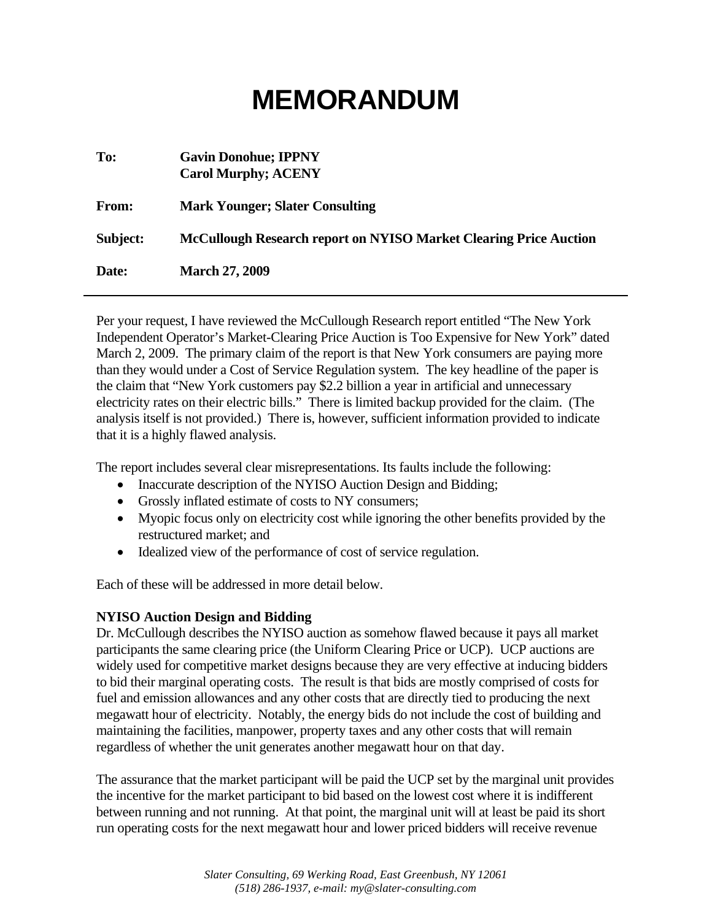# **MEMORANDUM**

| To:      | <b>Gavin Donohue; IPPNY</b><br><b>Carol Murphy; ACENY</b>                |
|----------|--------------------------------------------------------------------------|
| From:    | <b>Mark Younger; Slater Consulting</b>                                   |
| Subject: | <b>McCullough Research report on NYISO Market Clearing Price Auction</b> |
| Date:    | <b>March 27, 2009</b>                                                    |

Per your request, I have reviewed the McCullough Research report entitled "The New York Independent Operator's Market-Clearing Price Auction is Too Expensive for New York" dated March 2, 2009. The primary claim of the report is that New York consumers are paying more than they would under a Cost of Service Regulation system. The key headline of the paper is the claim that "New York customers pay \$2.2 billion a year in artificial and unnecessary electricity rates on their electric bills." There is limited backup provided for the claim. (The analysis itself is not provided.) There is, however, sufficient information provided to indicate that it is a highly flawed analysis.

The report includes several clear misrepresentations. Its faults include the following:

- Inaccurate description of the NYISO Auction Design and Bidding;
- Grossly inflated estimate of costs to NY consumers;
- Myopic focus only on electricity cost while ignoring the other benefits provided by the restructured market; and
- Idealized view of the performance of cost of service regulation.

Each of these will be addressed in more detail below.

### **NYISO Auction Design and Bidding**

Dr. McCullough describes the NYISO auction as somehow flawed because it pays all market participants the same clearing price (the Uniform Clearing Price or UCP). UCP auctions are widely used for competitive market designs because they are very effective at inducing bidders to bid their marginal operating costs. The result is that bids are mostly comprised of costs for fuel and emission allowances and any other costs that are directly tied to producing the next megawatt hour of electricity. Notably, the energy bids do not include the cost of building and maintaining the facilities, manpower, property taxes and any other costs that will remain regardless of whether the unit generates another megawatt hour on that day.

The assurance that the market participant will be paid the UCP set by the marginal unit provides the incentive for the market participant to bid based on the lowest cost where it is indifferent between running and not running. At that point, the marginal unit will at least be paid its short run operating costs for the next megawatt hour and lower priced bidders will receive revenue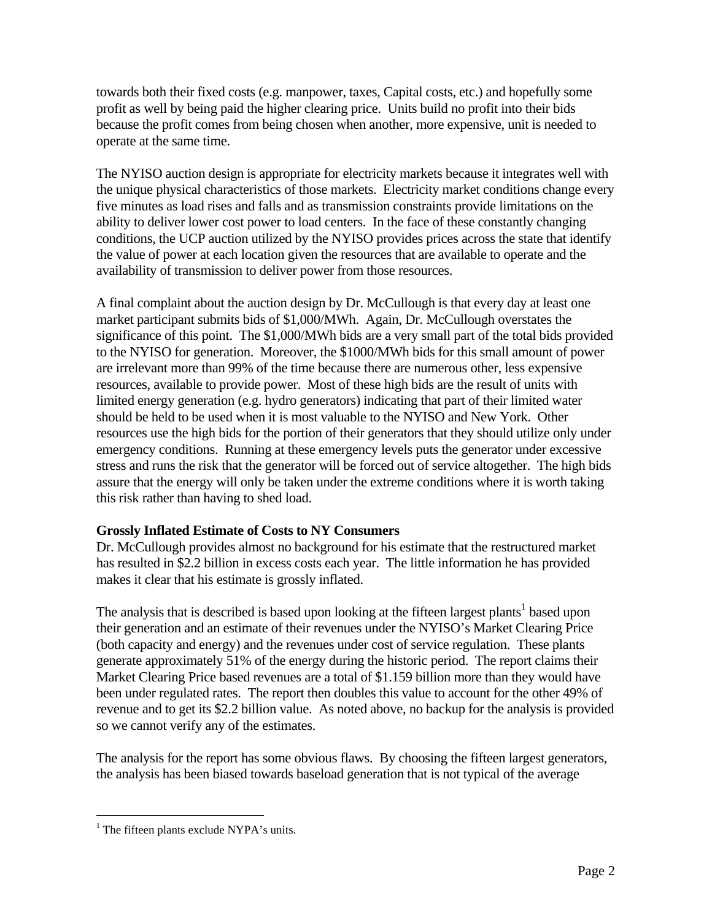towards both their fixed costs (e.g. manpower, taxes, Capital costs, etc.) and hopefully some profit as well by being paid the higher clearing price. Units build no profit into their bids because the profit comes from being chosen when another, more expensive, unit is needed to operate at the same time.

The NYISO auction design is appropriate for electricity markets because it integrates well with the unique physical characteristics of those markets. Electricity market conditions change every five minutes as load rises and falls and as transmission constraints provide limitations on the ability to deliver lower cost power to load centers. In the face of these constantly changing conditions, the UCP auction utilized by the NYISO provides prices across the state that identify the value of power at each location given the resources that are available to operate and the availability of transmission to deliver power from those resources.

A final complaint about the auction design by Dr. McCullough is that every day at least one market participant submits bids of \$1,000/MWh. Again, Dr. McCullough overstates the significance of this point. The \$1,000/MWh bids are a very small part of the total bids provided to the NYISO for generation. Moreover, the \$1000/MWh bids for this small amount of power are irrelevant more than 99% of the time because there are numerous other, less expensive resources, available to provide power. Most of these high bids are the result of units with limited energy generation (e.g. hydro generators) indicating that part of their limited water should be held to be used when it is most valuable to the NYISO and New York. Other resources use the high bids for the portion of their generators that they should utilize only under emergency conditions. Running at these emergency levels puts the generator under excessive stress and runs the risk that the generator will be forced out of service altogether. The high bids assure that the energy will only be taken under the extreme conditions where it is worth taking this risk rather than having to shed load.

## **Grossly Inflated Estimate of Costs to NY Consumers**

Dr. McCullough provides almost no background for his estimate that the restructured market has resulted in \$2.2 billion in excess costs each year. The little information he has provided makes it clear that his estimate is grossly inflated.

The analysis that is described is based upon looking at the fifteen largest plants<sup>1</sup> based upon their generation and an estimate of their revenues under the NYISO's Market Clearing Price (both capacity and energy) and the revenues under cost of service regulation. These plants generate approximately 51% of the energy during the historic period. The report claims their Market Clearing Price based revenues are a total of \$1.159 billion more than they would have been under regulated rates. The report then doubles this value to account for the other 49% of revenue and to get its \$2.2 billion value. As noted above, no backup for the analysis is provided so we cannot verify any of the estimates.

The analysis for the report has some obvious flaws. By choosing the fifteen largest generators, the analysis has been biased towards baseload generation that is not typical of the average

i<br>Li <sup>1</sup> The fifteen plants exclude NYPA's units.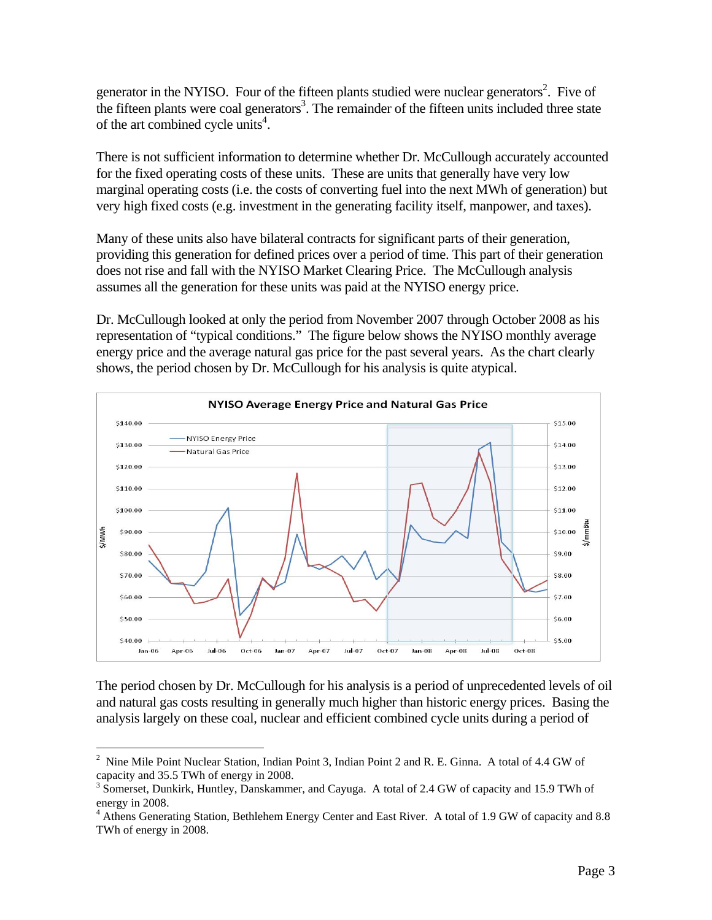generator in the NYISO. Four of the fifteen plants studied were nuclear generators<sup>2</sup>. Five of the fifteen plants were coal generators<sup>3</sup>. The remainder of the fifteen units included three state of the art combined cycle units<sup>4</sup>.

There is not sufficient information to determine whether Dr. McCullough accurately accounted for the fixed operating costs of these units. These are units that generally have very low marginal operating costs (i.e. the costs of converting fuel into the next MWh of generation) but very high fixed costs (e.g. investment in the generating facility itself, manpower, and taxes).

Many of these units also have bilateral contracts for significant parts of their generation, providing this generation for defined prices over a period of time. This part of their generation does not rise and fall with the NYISO Market Clearing Price. The McCullough analysis assumes all the generation for these units was paid at the NYISO energy price.

Dr. McCullough looked at only the period from November 2007 through October 2008 as his representation of "typical conditions." The figure below shows the NYISO monthly average energy price and the average natural gas price for the past several years. As the chart clearly shows, the period chosen by Dr. McCullough for his analysis is quite atypical.



The period chosen by Dr. McCullough for his analysis is a period of unprecedented levels of oil and natural gas costs resulting in generally much higher than historic energy prices. Basing the analysis largely on these coal, nuclear and efficient combined cycle units during a period of

i<br>Li

<sup>2</sup> Nine Mile Point Nuclear Station, Indian Point 3, Indian Point 2 and R. E. Ginna. A total of 4.4 GW of capacity and 35.5 TWh of energy in 2008.

<sup>&</sup>lt;sup>3</sup> Somerset, Dunkirk, Huntley, Danskammer, and Cayuga. A total of 2.4 GW of capacity and 15.9 TWh of energy in 2008.

<sup>&</sup>lt;sup>4</sup> Athens Generating Station, Bethlehem Energy Center and East River. A total of 1.9 GW of capacity and 8.8 TWh of energy in 2008.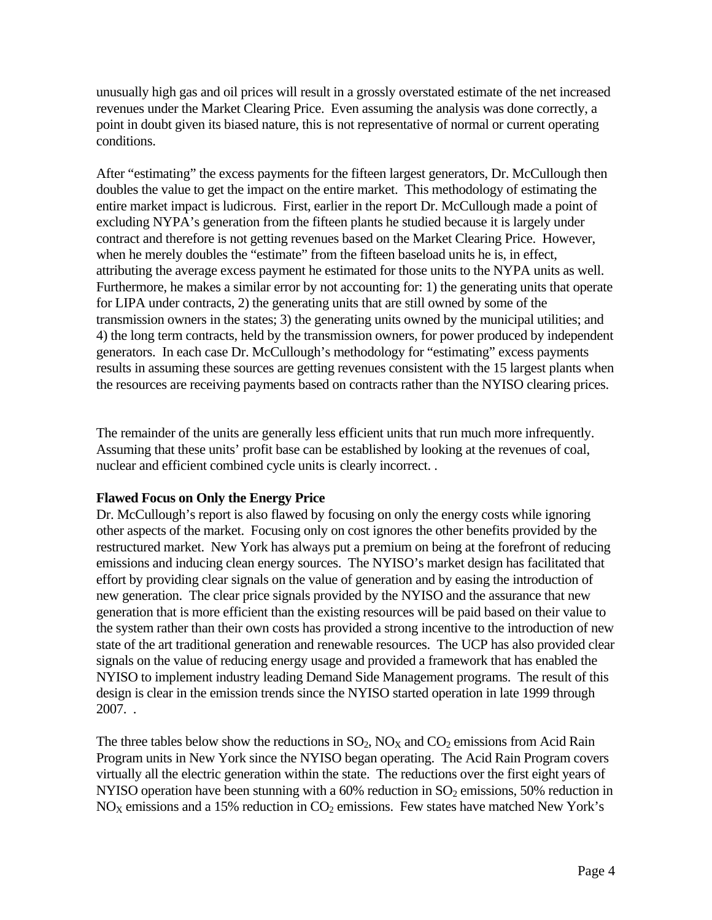unusually high gas and oil prices will result in a grossly overstated estimate of the net increased revenues under the Market Clearing Price. Even assuming the analysis was done correctly, a point in doubt given its biased nature, this is not representative of normal or current operating conditions.

After "estimating" the excess payments for the fifteen largest generators, Dr. McCullough then doubles the value to get the impact on the entire market. This methodology of estimating the entire market impact is ludicrous. First, earlier in the report Dr. McCullough made a point of excluding NYPA's generation from the fifteen plants he studied because it is largely under contract and therefore is not getting revenues based on the Market Clearing Price. However, when he merely doubles the "estimate" from the fifteen baseload units he is, in effect, attributing the average excess payment he estimated for those units to the NYPA units as well. Furthermore, he makes a similar error by not accounting for: 1) the generating units that operate for LIPA under contracts, 2) the generating units that are still owned by some of the transmission owners in the states; 3) the generating units owned by the municipal utilities; and 4) the long term contracts, held by the transmission owners, for power produced by independent generators. In each case Dr. McCullough's methodology for "estimating" excess payments results in assuming these sources are getting revenues consistent with the 15 largest plants when the resources are receiving payments based on contracts rather than the NYISO clearing prices.

The remainder of the units are generally less efficient units that run much more infrequently. Assuming that these units' profit base can be established by looking at the revenues of coal, nuclear and efficient combined cycle units is clearly incorrect. .

## **Flawed Focus on Only the Energy Price**

Dr. McCullough's report is also flawed by focusing on only the energy costs while ignoring other aspects of the market. Focusing only on cost ignores the other benefits provided by the restructured market. New York has always put a premium on being at the forefront of reducing emissions and inducing clean energy sources. The NYISO's market design has facilitated that effort by providing clear signals on the value of generation and by easing the introduction of new generation. The clear price signals provided by the NYISO and the assurance that new generation that is more efficient than the existing resources will be paid based on their value to the system rather than their own costs has provided a strong incentive to the introduction of new state of the art traditional generation and renewable resources. The UCP has also provided clear signals on the value of reducing energy usage and provided a framework that has enabled the NYISO to implement industry leading Demand Side Management programs. The result of this design is clear in the emission trends since the NYISO started operation in late 1999 through 2007. .

The three tables below show the reductions in  $SO_2$ ,  $NO_X$  and  $CO_2$  emissions from Acid Rain Program units in New York since the NYISO began operating. The Acid Rain Program covers virtually all the electric generation within the state. The reductions over the first eight years of NYISO operation have been stunning with a  $60\%$  reduction in SO<sub>2</sub> emissions, 50% reduction in  $NO<sub>X</sub>$  emissions and a 15% reduction in  $CO<sub>2</sub>$  emissions. Few states have matched New York's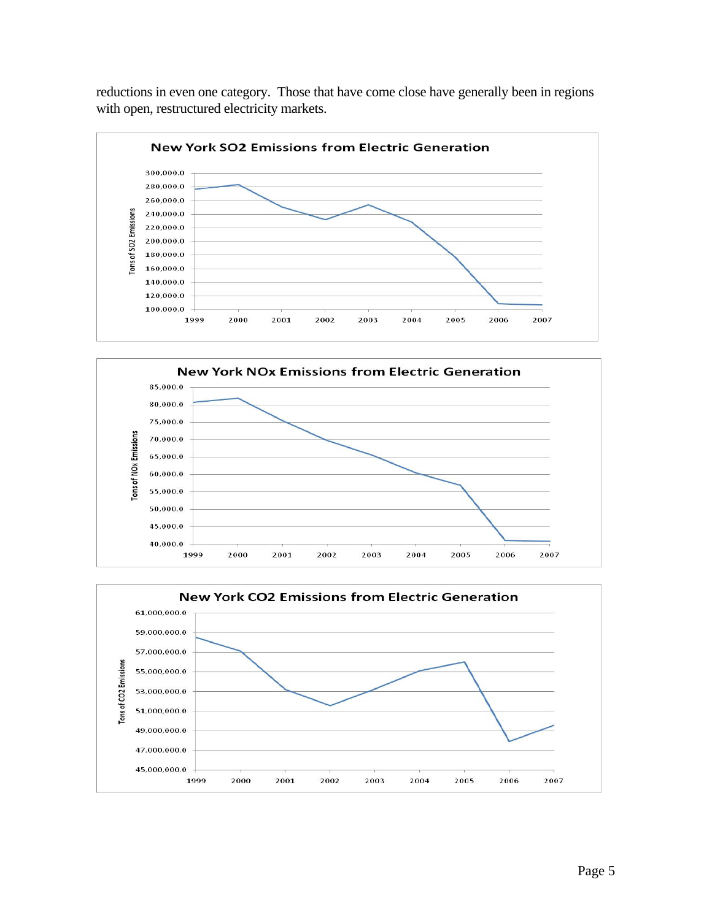reductions in even one category. Those that have come close have generally been in regions with open, restructured electricity markets.